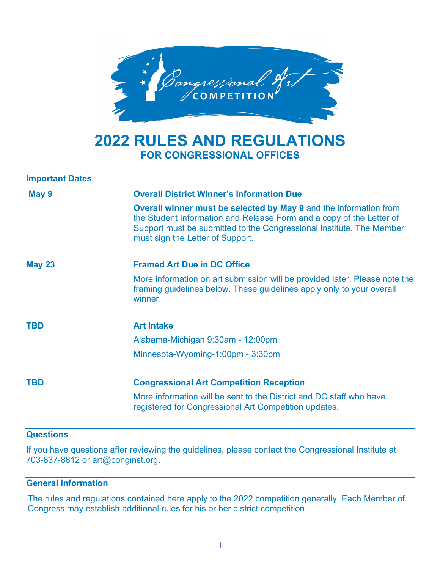

# **2022 RULES AND REGULATIONS FOR CONGRESSIONAL OFFICES**

| <b>Important Dates</b> |                                                                                                                                                                                                                                                              |
|------------------------|--------------------------------------------------------------------------------------------------------------------------------------------------------------------------------------------------------------------------------------------------------------|
| May 9                  | <b>Overall District Winner's Information Due</b>                                                                                                                                                                                                             |
|                        | <b>Overall winner must be selected by May 9 and the information from</b><br>the Student Information and Release Form and a copy of the Letter of<br>Support must be submitted to the Congressional Institute. The Member<br>must sign the Letter of Support. |
| <b>May 23</b>          | <b>Framed Art Due in DC Office</b>                                                                                                                                                                                                                           |
|                        | More information on art submission will be provided later. Please note the<br>framing guidelines below. These guidelines apply only to your overall<br>winner.                                                                                               |
| <b>TBD</b>             | <b>Art Intake</b>                                                                                                                                                                                                                                            |
|                        | Alabama-Michigan 9:30am - 12:00pm                                                                                                                                                                                                                            |
|                        | Minnesota-Wyoming-1:00pm - 3:30pm                                                                                                                                                                                                                            |
| <b>TBD</b>             | <b>Congressional Art Competition Reception</b>                                                                                                                                                                                                               |
|                        | More information will be sent to the District and DC staff who have<br>registered for Congressional Art Competition updates.                                                                                                                                 |

#### **Questions**

If you have questions after reviewing the guidelines, please contact the Congressional Institute at 703-837-8812 or art@conginst.org.

#### **General Information**

The rules and regulations contained here apply to the 2022 competition generally. Each Member of Congress may establish additional rules for his or her district competition.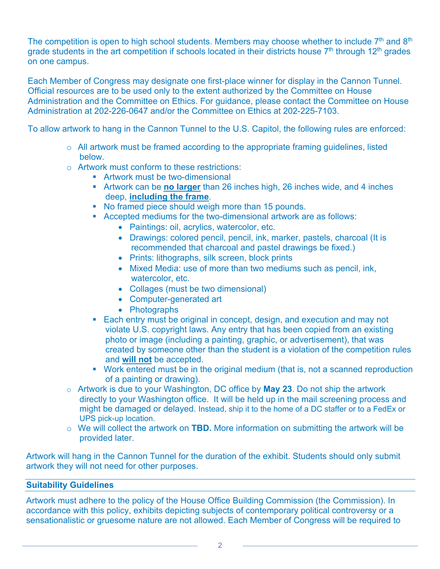The competition is open to high school students. Members may choose whether to include  $7<sup>th</sup>$  and  $8<sup>th</sup>$ grade students in the art competition if schools located in their districts house  $7<sup>th</sup>$  through 12<sup>th</sup> grades on one campus.

Each Member of Congress may designate one first-place winner for display in the Cannon Tunnel. Official resources are to be used only to the extent authorized by the Committee on House Administration and the Committee on Ethics. For guidance, please contact the Committee on House Administration at 202-226-0647 and/or the Committee on Ethics at 202-225-7103.

To allow artwork to hang in the Cannon Tunnel to the U.S. Capitol, the following rules are enforced:

- o All artwork must be framed according to the appropriate framing guidelines, listed below.
- o Artwork must conform to these restrictions:
	- Artwork must be two-dimensional
	- § Artwork can be **no larger** than 26 inches high, 26 inches wide, and 4 inches deep, **including the frame**.
	- § No framed piece should weigh more than 15 pounds.
	- Accepted mediums for the two-dimensional artwork are as follows:
		- Paintings: oil, acrylics, watercolor, etc.
		- Drawings: colored pencil, pencil, ink, marker, pastels, charcoal (It is recommended that charcoal and pastel drawings be fixed.)
		- Prints: lithographs, silk screen, block prints
		- Mixed Media: use of more than two mediums such as pencil, ink, watercolor, etc.
		- Collages (must be two dimensional)
		- Computer-generated art
		- Photographs
	- Each entry must be original in concept, design, and execution and may not violate U.S. copyright laws. Any entry that has been copied from an existing photo or image (including a painting, graphic, or advertisement), that was created by someone other than the student is a violation of the competition rules and **will not** be accepted.
	- Work entered must be in the original medium (that is, not a scanned reproduction of a painting or drawing).
- o Artwork is due to your Washington, DC office by **May 23**. Do not ship the artwork directly to your Washington office. It will be held up in the mail screening process and might be damaged or delayed. Instead, ship it to the home of a DC staffer or to a FedEx or UPS pick-up location.
- o We will collect the artwork on **TBD.** More information on submitting the artwork will be provided later.

Artwork will hang in the Cannon Tunnel for the duration of the exhibit. Students should only submit artwork they will not need for other purposes.

### **Suitability Guidelines**

Artwork must adhere to the policy of the House Office Building Commission (the Commission). In accordance with this policy, exhibits depicting subjects of contemporary political controversy or a sensationalistic or gruesome nature are not allowed. Each Member of Congress will be required to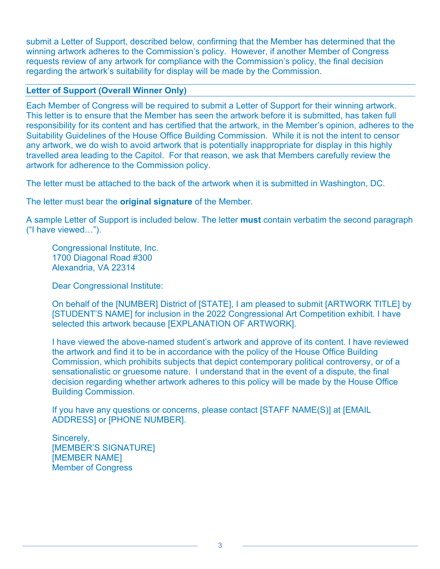submit a Letter of Support, described below, confirming that the Member has determined that the winning artwork adheres to the Commission's policy. However, if another Member of Congress requests review of any artwork for compliance with the Commission's policy, the final decision regarding the artwork's suitability for display will be made by the Commission.

# **Letter of Support (Overall Winner Only)**

Each Member of Congress will be required to submit a Letter of Support for their winning artwork. This letter is to ensure that the Member has seen the artwork before it is submitted, has taken full responsibility for its content and has certified that the artwork, in the Member's opinion, adheres to the Suitability Guidelines of the House Office Building Commission. While it is not the intent to censor any artwork, we do wish to avoid artwork that is potentially inappropriate for display in this highly travelled area leading to the Capitol. For that reason, we ask that Members carefully review the artwork for adherence to the Commission policy.

The letter must be attached to the back of the artwork when it is submitted in Washington, DC.

The letter must bear the **original signature** of the Member.

A sample Letter of Support is included below. The letter **must** contain verbatim the second paragraph ("I have viewed…").

Congressional Institute, Inc. 1700 Diagonal Road #300 Alexandria, VA 22314

Dear Congressional Institute:

On behalf of the [NUMBER] District of [STATE], I am pleased to submit [ARTWORK TITLE] by [STUDENT'S NAME] for inclusion in the 2022 Congressional Art Competition exhibit. I have selected this artwork because [EXPLANATION OF ARTWORK].

I have viewed the above-named student's artwork and approve of its content. I have reviewed the artwork and find it to be in accordance with the policy of the House Office Building Commission, which prohibits subjects that depict contemporary political controversy, or of a sensationalistic or gruesome nature. I understand that in the event of a dispute, the final decision regarding whether artwork adheres to this policy will be made by the House Office Building Commission.

If you have any questions or concerns, please contact [STAFF NAME(S)] at [EMAIL ADDRESS] or [PHONE NUMBER].

Sincerely, [MEMBER'S SIGNATURE] [MEMBER NAME] Member of Congress